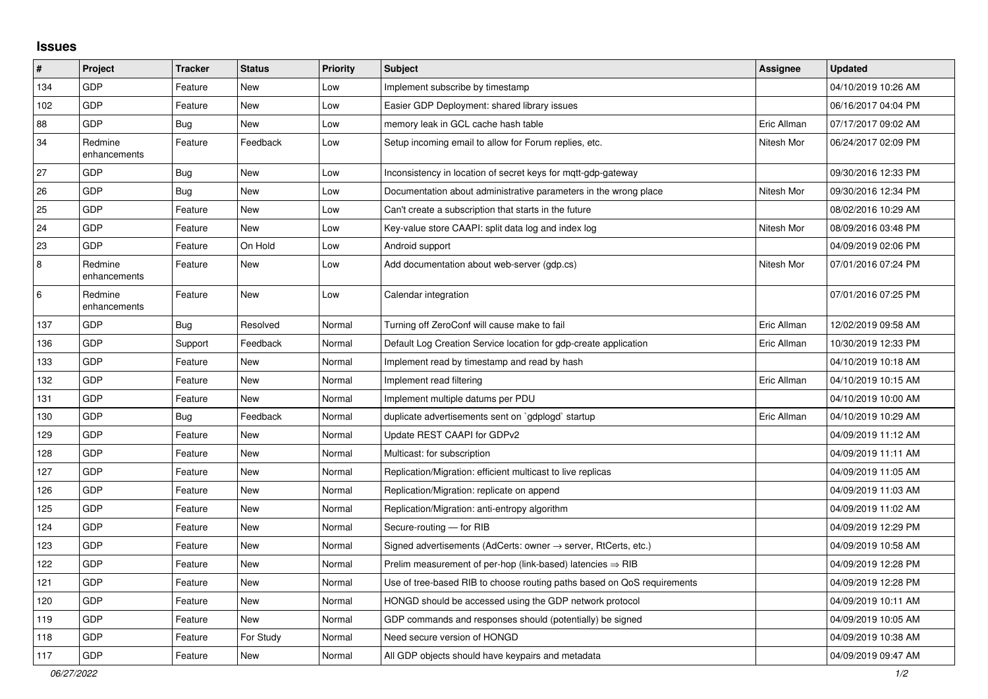## **Issues**

| #   | Project                 | <b>Tracker</b> | <b>Status</b> | <b>Priority</b> | <b>Subject</b>                                                          | Assignee    | <b>Updated</b>      |
|-----|-------------------------|----------------|---------------|-----------------|-------------------------------------------------------------------------|-------------|---------------------|
| 134 | GDP                     | Feature        | <b>New</b>    | Low             | Implement subscribe by timestamp                                        |             | 04/10/2019 10:26 AM |
| 102 | <b>GDP</b>              | Feature        | <b>New</b>    | Low             | Easier GDP Deployment: shared library issues                            |             | 06/16/2017 04:04 PM |
| 88  | <b>GDP</b>              | Bug            | <b>New</b>    | Low             | memory leak in GCL cache hash table                                     | Eric Allman | 07/17/2017 09:02 AM |
| 34  | Redmine<br>enhancements | Feature        | Feedback      | Low             | Setup incoming email to allow for Forum replies, etc.                   | Nitesh Mor  | 06/24/2017 02:09 PM |
| 27  | <b>GDP</b>              | <b>Bug</b>     | <b>New</b>    | Low             | Inconsistency in location of secret keys for mgtt-gdp-gateway           |             | 09/30/2016 12:33 PM |
| 26  | GDP                     | <b>Bug</b>     | <b>New</b>    | Low             | Documentation about administrative parameters in the wrong place        | Nitesh Mor  | 09/30/2016 12:34 PM |
| 25  | GDP                     | Feature        | <b>New</b>    | Low             | Can't create a subscription that starts in the future                   |             | 08/02/2016 10:29 AM |
| 24  | <b>GDP</b>              | Feature        | <b>New</b>    | Low             | Key-value store CAAPI: split data log and index log                     | Nitesh Mor  | 08/09/2016 03:48 PM |
| 23  | <b>GDP</b>              | Feature        | On Hold       | Low             | Android support                                                         |             | 04/09/2019 02:06 PM |
| 8   | Redmine<br>enhancements | Feature        | New           | Low             | Add documentation about web-server (gdp.cs)                             | Nitesh Mor  | 07/01/2016 07:24 PM |
| 6   | Redmine<br>enhancements | Feature        | <b>New</b>    | Low             | Calendar integration                                                    |             | 07/01/2016 07:25 PM |
| 137 | <b>GDP</b>              | <b>Bug</b>     | Resolved      | Normal          | Turning off ZeroConf will cause make to fail                            | Eric Allman | 12/02/2019 09:58 AM |
| 136 | GDP                     | Support        | Feedback      | Normal          | Default Log Creation Service location for gdp-create application        | Eric Allman | 10/30/2019 12:33 PM |
| 133 | <b>GDP</b>              | Feature        | <b>New</b>    | Normal          | Implement read by timestamp and read by hash                            |             | 04/10/2019 10:18 AM |
| 132 | GDP                     | Feature        | New           | Normal          | Implement read filtering                                                | Eric Allman | 04/10/2019 10:15 AM |
| 131 | GDP                     | Feature        | New           | Normal          | Implement multiple datums per PDU                                       |             | 04/10/2019 10:00 AM |
| 130 | GDP                     | Bug            | Feedback      | Normal          | duplicate advertisements sent on `gdplogd` startup                      | Eric Allman | 04/10/2019 10:29 AM |
| 129 | GDP                     | Feature        | <b>New</b>    | Normal          | Update REST CAAPI for GDPv2                                             |             | 04/09/2019 11:12 AM |
| 128 | GDP                     | Feature        | <b>New</b>    | Normal          | Multicast: for subscription                                             |             | 04/09/2019 11:11 AM |
| 127 | <b>GDP</b>              | Feature        | <b>New</b>    | Normal          | Replication/Migration: efficient multicast to live replicas             |             | 04/09/2019 11:05 AM |
| 126 | <b>GDP</b>              | Feature        | New           | Normal          | Replication/Migration: replicate on append                              |             | 04/09/2019 11:03 AM |
| 125 | <b>GDP</b>              | Feature        | <b>New</b>    | Normal          | Replication/Migration: anti-entropy algorithm                           |             | 04/09/2019 11:02 AM |
| 124 | <b>GDP</b>              | Feature        | <b>New</b>    | Normal          | Secure-routing - for RIB                                                |             | 04/09/2019 12:29 PM |
| 123 | GDP                     | Feature        | New           | Normal          | Signed advertisements (AdCerts: owner → server, RtCerts, etc.)          |             | 04/09/2019 10:58 AM |
| 122 | GDP                     | Feature        | <b>New</b>    | Normal          | Prelim measurement of per-hop (link-based) latencies $\Rightarrow$ RIB  |             | 04/09/2019 12:28 PM |
| 121 | GDP                     | Feature        | New           | Normal          | Use of tree-based RIB to choose routing paths based on QoS requirements |             | 04/09/2019 12:28 PM |
| 120 | GDP                     | Feature        | <b>New</b>    | Normal          | HONGD should be accessed using the GDP network protocol                 |             | 04/09/2019 10:11 AM |
| 119 | GDP                     | Feature        | New           | Normal          | GDP commands and responses should (potentially) be signed               |             | 04/09/2019 10:05 AM |
| 118 | GDP                     | Feature        | For Study     | Normal          | Need secure version of HONGD                                            |             | 04/09/2019 10:38 AM |
| 117 | <b>GDP</b>              | Feature        | <b>New</b>    | Normal          | All GDP objects should have keypairs and metadata                       |             | 04/09/2019 09:47 AM |